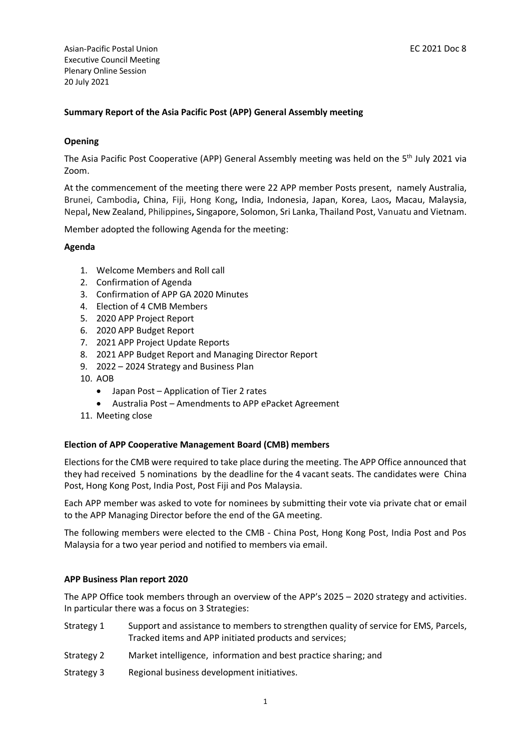# **Summary Report of the Asia Pacific Post (APP) General Assembly meeting**

#### **Opening**

The Asia Pacific Post Cooperative (APP) General Assembly meeting was held on the 5<sup>th</sup> July 2021 via Zoom.

At the commencement of the meeting there were 22 APP member Posts present, namely Australia, Brunei, Cambodia**,** China, Fiji, Hong Kong**,** India, Indonesia, Japan, Korea, Laos**,** Macau, Malaysia, Nepal**,** New Zealand, Philippines**,** Singapore, Solomon, Sri Lanka, Thailand Post, Vanuatu and Vietnam.

Member adopted the following Agenda for the meeting:

#### **Agenda**

- 1. Welcome Members and Roll call
- 2. Confirmation of Agenda
- 3. Confirmation of APP GA 2020 Minutes
- 4. Election of 4 CMB Members
- 5. 2020 APP Project Report
- 6. 2020 APP Budget Report
- 7. 2021 APP Project Update Reports
- 8. 2021 APP Budget Report and Managing Director Report
- 9. 2022 2024 Strategy and Business Plan
- 10. AOB
	- Japan Post Application of Tier 2 rates
	- Australia Post Amendments to APP ePacket Agreement
- 11. Meeting close

#### **Election of APP Cooperative Management Board (CMB) members**

Elections for the CMB were required to take place during the meeting. The APP Office announced that they had received 5 nominations by the deadline for the 4 vacant seats. The candidates were China Post, Hong Kong Post, India Post, Post Fiji and Pos Malaysia.

Each APP member was asked to vote for nominees by submitting their vote via private chat or email to the APP Managing Director before the end of the GA meeting.

The following members were elected to the CMB - China Post, Hong Kong Post, India Post and Pos Malaysia for a two year period and notified to members via email.

#### **APP Business Plan report 2020**

The APP Office took members through an overview of the APP's 2025 – 2020 strategy and activities. In particular there was a focus on 3 Strategies:

- Strategy 1 Support and assistance to members to strengthen quality of service for EMS, Parcels, Tracked items and APP initiated products and services;
- Strategy 2 Market intelligence, information and best practice sharing; and
- Strategy 3 Regional business development initiatives.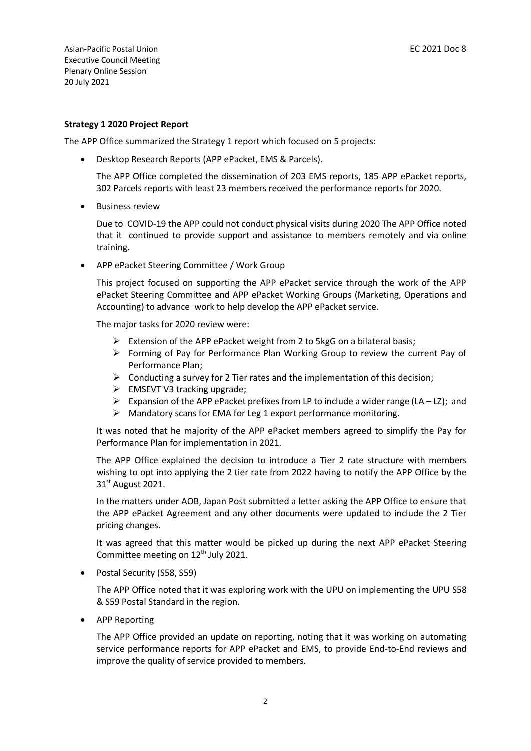## **Strategy 1 2020 Project Report**

The APP Office summarized the Strategy 1 report which focused on 5 projects:

Desktop Research Reports (APP ePacket, EMS & Parcels).

The APP Office completed the dissemination of 203 EMS reports, 185 APP ePacket reports, 302 Parcels reports with least 23 members received the performance reports for 2020.

**•** Business review

Due to COVID-19 the APP could not conduct physical visits during 2020 The APP Office noted that it continued to provide support and assistance to members remotely and via online training.

APP ePacket Steering Committee / Work Group

This project focused on supporting the APP ePacket service through the work of the APP ePacket Steering Committee and APP ePacket Working Groups (Marketing, Operations and Accounting) to advance work to help develop the APP ePacket service.

The major tasks for 2020 review were:

- $\triangleright$  Extension of the APP ePacket weight from 2 to 5kgG on a bilateral basis;
- $\triangleright$  Forming of Pay for Performance Plan Working Group to review the current Pay of Performance Plan;
- $\triangleright$  Conducting a survey for 2 Tier rates and the implementation of this decision;
- > EMSEVT V3 tracking upgrade;
- Expansion of the APP ePacket prefixes from LP to include a wider range (LA LZ); and
- $\triangleright$  Mandatory scans for EMA for Leg 1 export performance monitoring.

It was noted that he majority of the APP ePacket members agreed to simplify the Pay for Performance Plan for implementation in 2021.

The APP Office explained the decision to introduce a Tier 2 rate structure with members wishing to opt into applying the 2 tier rate from 2022 having to notify the APP Office by the 31st August 2021.

In the matters under AOB, Japan Post submitted a letter asking the APP Office to ensure that the APP ePacket Agreement and any other documents were updated to include the 2 Tier pricing changes.

It was agreed that this matter would be picked up during the next APP ePacket Steering Committee meeting on 12<sup>th</sup> July 2021.

● Postal Security (S58, S59)

The APP Office noted that it was exploring work with the UPU on implementing the UPU S58 & S59 Postal Standard in the region.

• APP Reporting

The APP Office provided an update on reporting, noting that it was working on automating service performance reports for APP ePacket and EMS, to provide End-to-End reviews and improve the quality of service provided to members.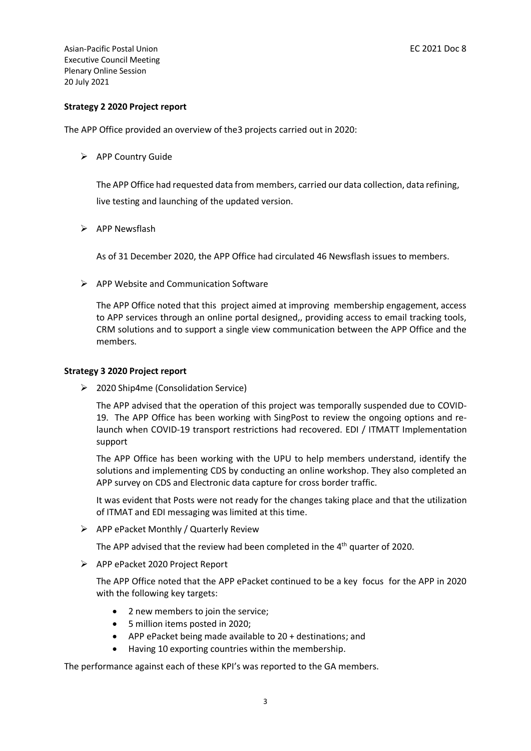## **Strategy 2 2020 Project report**

The APP Office provided an overview of the3 projects carried out in 2020:

 $\triangleright$  APP Country Guide

The APP Office had requested data from members, carried our data collection, data refining, live testing and launching of the updated version.

 $\triangleright$  APP Newsflash

As of 31 December 2020, the APP Office had circulated 46 Newsflash issues to members.

 $\triangleright$  APP Website and Communication Software

The APP Office noted that this project aimed at improving membership engagement, access to APP services through an online portal designed,, providing access to email tracking tools, CRM solutions and to support a single view communication between the APP Office and the members.

#### **Strategy 3 2020 Project report**

2020 Ship4me (Consolidation Service)

The APP advised that the operation of this project was temporally suspended due to COVID-19. The APP Office has been working with SingPost to review the ongoing options and relaunch when COVID-19 transport restrictions had recovered. EDI / ITMATT Implementation support

The APP Office has been working with the UPU to help members understand, identify the solutions and implementing CDS by conducting an online workshop. They also completed an APP survey on CDS and Electronic data capture for cross border traffic.

It was evident that Posts were not ready for the changes taking place and that the utilization of ITMAT and EDI messaging was limited at this time.

 $\triangleright$  APP ePacket Monthly / Quarterly Review

The APP advised that the review had been completed in the  $4<sup>th</sup>$  quarter of 2020.

APP ePacket 2020 Project Report

The APP Office noted that the APP ePacket continued to be a key focus for the APP in 2020 with the following key targets:

- 2 new members to join the service;
- 5 million items posted in 2020;
- APP ePacket being made available to 20 + destinations; and
- Having 10 exporting countries within the membership.

The performance against each of these KPI's was reported to the GA members.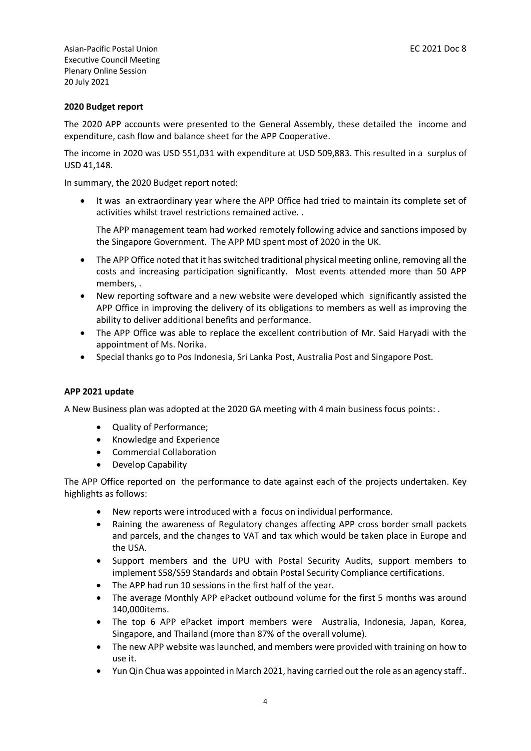## **2020 Budget report**

The 2020 APP accounts were presented to the General Assembly, these detailed the income and expenditure, cash flow and balance sheet for the APP Cooperative.

The income in 2020 was USD 551,031 with expenditure at USD 509,883. This resulted in a surplus of USD 41,148.

In summary, the 2020 Budget report noted:

 It was an extraordinary year where the APP Office had tried to maintain its complete set of activities whilst travel restrictions remained active. .

The APP management team had worked remotely following advice and sanctions imposed by the Singapore Government. The APP MD spent most of 2020 in the UK.

- The APP Office noted that it has switched traditional physical meeting online, removing all the costs and increasing participation significantly. Most events attended more than 50 APP members, .
- New reporting software and a new website were developed which significantly assisted the APP Office in improving the delivery of its obligations to members as well as improving the ability to deliver additional benefits and performance.
- The APP Office was able to replace the excellent contribution of Mr. Said Haryadi with the appointment of Ms. Norika.
- Special thanks go to Pos Indonesia, Sri Lanka Post, Australia Post and Singapore Post.

## **APP 2021 update**

A New Business plan was adopted at the 2020 GA meeting with 4 main business focus points: .

- Quality of Performance;
- Knowledge and Experience
- Commercial Collaboration
- Develop Capability

The APP Office reported on the performance to date against each of the projects undertaken. Key highlights as follows:

- New reports were introduced with a focus on individual performance.
- Raining the awareness of Regulatory changes affecting APP cross border small packets and parcels, and the changes to VAT and tax which would be taken place in Europe and the USA.
- Support members and the UPU with Postal Security Audits, support members to implement S58/S59 Standards and obtain Postal Security Compliance certifications.
- The APP had run 10 sessions in the first half of the year.
- The average Monthly APP ePacket outbound volume for the first 5 months was around 140,000items.
- The top 6 APP ePacket import members were Australia, Indonesia, Japan, Korea, Singapore, and Thailand (more than 87% of the overall volume).
- The new APP website was launched, and members were provided with training on how to use it.
- Yun Qin Chua was appointed in March 2021, having carried out the role as an agency staff..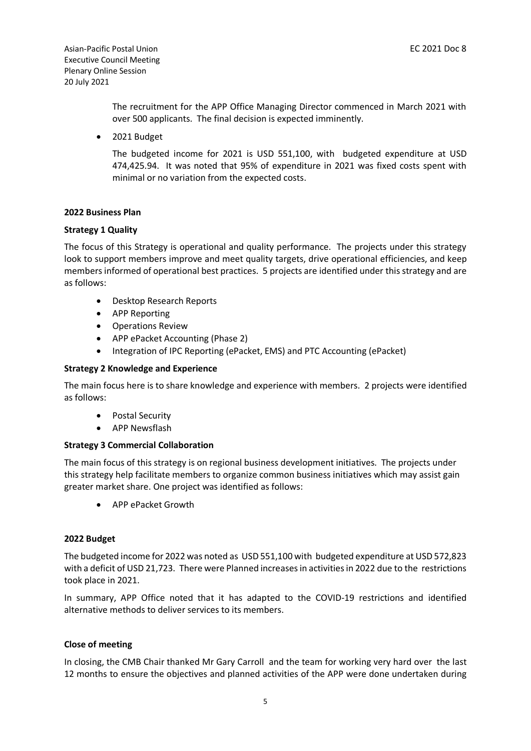> The recruitment for the APP Office Managing Director commenced in March 2021 with over 500 applicants. The final decision is expected imminently.

2021 Budget

The budgeted income for 2021 is USD 551,100, with budgeted expenditure at USD 474,425.94. It was noted that 95% of expenditure in 2021 was fixed costs spent with minimal or no variation from the expected costs.

## **2022 Business Plan**

#### **Strategy 1 Quality**

The focus of this Strategy is operational and quality performance. The projects under this strategy look to support members improve and meet quality targets, drive operational efficiencies, and keep members informed of operational best practices. 5 projects are identified under this strategy and are as follows:

- **•** Desktop Research Reports
- APP Reporting
- **•** Operations Review
- APP ePacket Accounting (Phase 2)
- Integration of IPC Reporting (ePacket, EMS) and PTC Accounting (ePacket)

## **Strategy 2 Knowledge and Experience**

The main focus here is to share knowledge and experience with members. 2 projects were identified as follows:

- Postal Security
- APP Newsflash

## **Strategy 3 Commercial Collaboration**

The main focus of this strategy is on regional business development initiatives. The projects under this strategy help facilitate members to organize common business initiatives which may assist gain greater market share. One project was identified as follows:

APP ePacket Growth

## **2022 Budget**

The budgeted income for 2022 was noted as USD 551,100 with budgeted expenditure at USD 572,823 with a deficit of USD 21,723. There were Planned increases in activities in 2022 due to the restrictions took place in 2021.

In summary, APP Office noted that it has adapted to the COVID-19 restrictions and identified alternative methods to deliver services to its members.

## **Close of meeting**

In closing, the CMB Chair thanked Mr Gary Carroll and the team for working very hard over the last 12 months to ensure the objectives and planned activities of the APP were done undertaken during